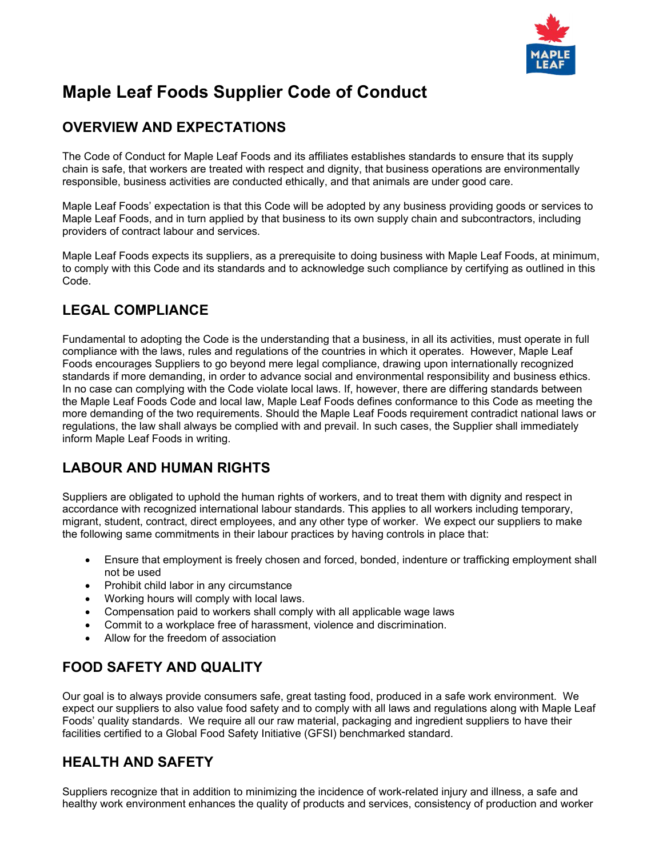

# **Maple Leaf Foods Supplier Code of Conduct**

# **OVERVIEW AND EXPECTATIONS**

The Code of Conduct for Maple Leaf Foods and its affiliates establishes standards to ensure that its supply chain is safe, that workers are treated with respect and dignity, that business operations are environmentally responsible, business activities are conducted ethically, and that animals are under good care.

Maple Leaf Foods' expectation is that this Code will be adopted by any business providing goods or services to Maple Leaf Foods, and in turn applied by that business to its own supply chain and subcontractors, including providers of contract labour and services.

Maple Leaf Foods expects its suppliers, as a prerequisite to doing business with Maple Leaf Foods, at minimum, to comply with this Code and its standards and to acknowledge such compliance by certifying as outlined in this Code.

### **LEGAL COMPLIANCE**

Fundamental to adopting the Code is the understanding that a business, in all its activities, must operate in full compliance with the laws, rules and regulations of the countries in which it operates. However, Maple Leaf Foods encourages Suppliers to go beyond mere legal compliance, drawing upon internationally recognized standards if more demanding, in order to advance social and environmental responsibility and business ethics. In no case can complying with the Code violate local laws. If, however, there are differing standards between the Maple Leaf Foods Code and local law, Maple Leaf Foods defines conformance to this Code as meeting the more demanding of the two requirements. Should the Maple Leaf Foods requirement contradict national laws or regulations, the law shall always be complied with and prevail. In such cases, the Supplier shall immediately inform Maple Leaf Foods in writing.

### **LABOUR AND HUMAN RIGHTS**

Suppliers are obligated to uphold the human rights of workers, and to treat them with dignity and respect in accordance with recognized international labour standards. This applies to all workers including temporary, migrant, student, contract, direct employees, and any other type of worker. We expect our suppliers to make the following same commitments in their labour practices by having controls in place that:

- Ensure that employment is freely chosen and forced, bonded, indenture or trafficking employment shall not be used
- Prohibit child labor in any circumstance
- Working hours will comply with local laws.
- Compensation paid to workers shall comply with all applicable wage laws
- Commit to a workplace free of harassment, violence and discrimination.
- Allow for the freedom of association

# **FOOD SAFETY AND QUALITY**

Our goal is to always provide consumers safe, great tasting food, produced in a safe work environment. We expect our suppliers to also value food safety and to comply with all laws and regulations along with Maple Leaf Foods' quality standards. We require all our raw material, packaging and ingredient suppliers to have their facilities certified to a Global Food Safety Initiative (GFSI) benchmarked standard.

### **HEALTH AND SAFETY**

Suppliers recognize that in addition to minimizing the incidence of work-related injury and illness, a safe and healthy work environment enhances the quality of products and services, consistency of production and worker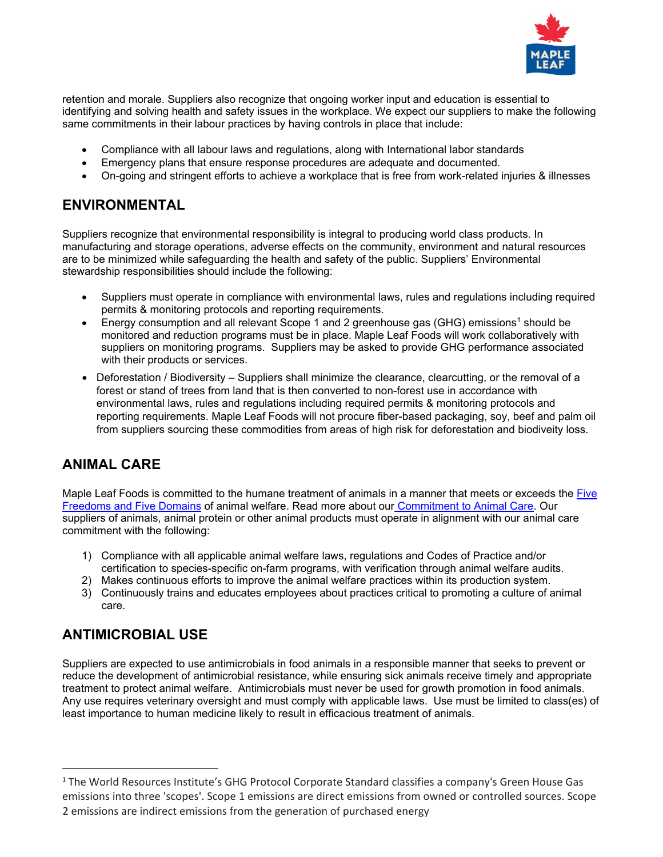

retention and morale. Suppliers also recognize that ongoing worker input and education is essential to identifying and solving health and safety issues in the workplace. We expect our suppliers to make the following same commitments in their labour practices by having controls in place that include:

- Compliance with all labour laws and regulations, along with International labor standards
- Emergency plans that ensure response procedures are adequate and documented.
- On-going and stringent efforts to achieve a workplace that is free from work-related injuries & illnesses

### **ENVIRONMENTAL**

Suppliers recognize that environmental responsibility is integral to producing world class products. In manufacturing and storage operations, adverse effects on the community, environment and natural resources are to be minimized while safeguarding the health and safety of the public. Suppliers' Environmental stewardship responsibilities should include the following:

- Suppliers must operate in compliance with environmental laws, rules and regulations including required permits & monitoring protocols and reporting requirements.
- Energy consumption and all relevant Scope 1 and 2 greenhouse gas (GHG) emissions<sup>1</sup> should be monitored and reduction programs must be in place. Maple Leaf Foods will work collaboratively with suppliers on monitoring programs. Suppliers may be asked to provide GHG performance associated with their products or services.
- Deforestation / Biodiversity Suppliers shall minimize the clearance, clearcutting, or the removal of a forest or stand of trees from land that is then converted to non-forest use in accordance with environmental laws, rules and regulations including required permits & monitoring protocols and reporting requirements. Maple Leaf Foods will not procure fiber-based packaging, soy, beef and palm oil from suppliers sourcing these commodities from areas of high risk for deforestation and biodiveity loss.

# **ANIMAL CARE**

Maple Leaf Foods is committed to the humane treatment of animals in a manner that meets or exceeds the Five Freedoms and Five Domains of animal welfare. Read more about our Commitment to Animal Care. Our suppliers of animals, animal protein or other animal products must operate in alignment with our animal care commitment with the following:

- 1) Compliance with all applicable animal welfare laws, regulations and Codes of Practice and/or certification to species-specific on-farm programs, with verification through animal welfare audits.
- 2) Makes continuous efforts to improve the animal welfare practices within its production system.
- 3) Continuously trains and educates employees about practices critical to promoting a culture of animal care.

### **ANTIMICROBIAL USE**

Suppliers are expected to use antimicrobials in food animals in a responsible manner that seeks to prevent or reduce the development of antimicrobial resistance, while ensuring sick animals receive timely and appropriate treatment to protect animal welfare. Antimicrobials must never be used for growth promotion in food animals. Any use requires veterinary oversight and must comply with applicable laws. Use must be limited to class(es) of least importance to human medicine likely to result in efficacious treatment of animals.

<sup>1</sup> The World Resources Institute's GHG Protocol Corporate Standard classifies a company's Green House Gas emissions into three 'scopes'. Scope 1 emissions are direct emissions from owned or controlled sources. Scope 2 emissions are indirect emissions from the generation of purchased energy